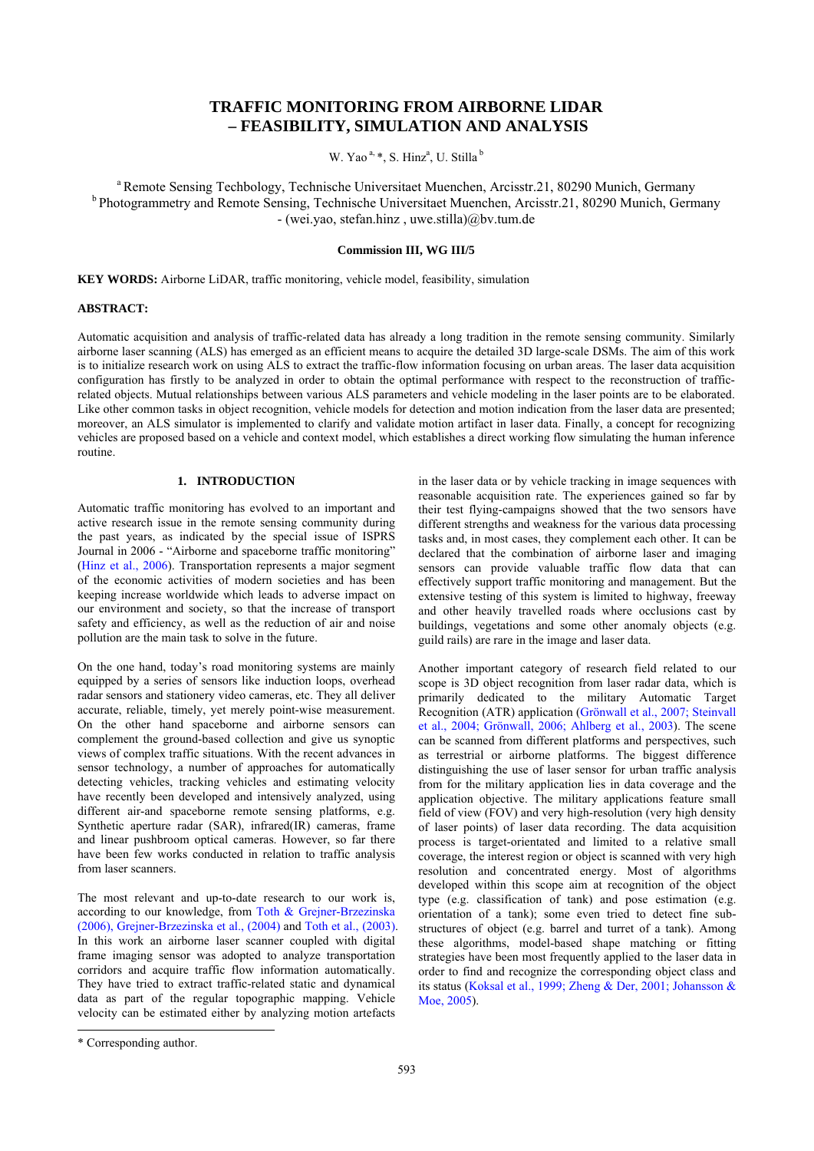# **TRAFFIC MONITORING FROM AIRBORNE LIDAR – FEASIBILITY, SIMULATION AND ANALYSIS**

W. Yao<sup>a, \*</sup>, S. Hinz<sup>a</sup>, U. Stilla<sup>b</sup>

a Remote Sensing Techbology, Technische Universitaet Muenchen, Arcisstr.21, 80290 Munich, Germany b Photogrammetry and Remote Sensing, Technische Universitaet Muenchen, Arcisstr.21, 80290 Munich, Germany - (wei.yao, stefan.hinz , uwe.stilla)@bv.tum.de

## **Commission III, WG III/5**

**KEY WORDS:** Airborne LiDAR, traffic monitoring, vehicle model, feasibility, simulation

## **ABSTRACT:**

Automatic acquisition and analysis of traffic-related data has already a long tradition in the remote sensing community. Similarly airborne laser scanning (ALS) has emerged as an efficient means to acquire the detailed 3D large-scale DSMs. The aim of this work is to initialize research work on using ALS to extract the traffic-flow information focusing on urban areas. The laser data acquisition configuration has firstly to be analyzed in order to obtain the optimal performance with respect to the reconstruction of trafficrelated objects. Mutual relationships between various ALS parameters and vehicle modeling in the laser points are to be elaborated. Like other common tasks in object recognition, vehicle models for detection and motion indication from the laser data are presented; moreover, an ALS simulator is implemented to clarify and validate motion artifact in laser data. Finally, a concept for recognizing vehicles are proposed based on a vehicle and context model, which establishes a direct working flow simulating the human inference routine.

## **1. INTRODUCTION**

Automatic traffic monitoring has evolved to an important and active research issue in the remote sensing community during the past years, as indicated by the special issue of ISPRS Journal in 2006 - "Airborne and spaceborne traffic monitoring" (Hinz et al., 2006). Transportation represents a major segment of the economic activities of modern societies and has been keeping increase worldwide which leads to adverse impact on our environment and society, so that the increase of transport safety and efficiency, as well as the reduction of air and noise pollution are the main task to solve in the future.

On the one hand, today's road monitoring systems are mainly equipped by a series of sensors like induction loops, overhead radar sensors and stationery video cameras, etc. They all deliver accurate, reliable, timely, yet merely point-wise measurement. On the other hand spaceborne and airborne sensors can complement the ground-based collection and give us synoptic views of complex traffic situations. With the recent advances in sensor technology, a number of approaches for automatically detecting vehicles, tracking vehicles and estimating velocity have recently been developed and intensively analyzed, using different air-and spaceborne remote sensing platforms, e.g. Synthetic aperture radar (SAR), infrared(IR) cameras, frame and linear pushbroom optical cameras. However, so far there have been few works conducted in relation to traffic analysis from laser scanners.

The most relevant and up-to-date research to our work is, according to our knowledge, from Toth & Grejner-Brzezinska (2006), Grejner-Brzezinska et al., (2004) and Toth et al., (2003). In this work an airborne laser scanner coupled with digital frame imaging sensor was adopted to analyze transportation corridors and acquire traffic flow information automatically. They have tried to extract traffic-related static and dynamical data as part of the regular topographic mapping. Vehicle velocity can be estimated either by analyzing motion artefacts

in the laser data or by vehicle tracking in image sequences with reasonable acquisition rate. The experiences gained so far by their test flying-campaigns showed that the two sensors have different strengths and weakness for the various data processing tasks and, in most cases, they complement each other. It can be declared that the combination of airborne laser and imaging sensors can provide valuable traffic flow data that can effectively support traffic monitoring and management. But the extensive testing of this system is limited to highway, freeway and other heavily travelled roads where occlusions cast by buildings, vegetations and some other anomaly objects (e.g. guild rails) are rare in the image and laser data.

Another important category of research field related to our scope is 3D object recognition from laser radar data, which is primarily dedicated to the military Automatic Target Recognition (ATR) application (Grönwall et al., 2007; Steinvall et al., 2004; Grönwall, 2006; Ahlberg et al., 2003). The scene can be scanned from different platforms and perspectives, such as terrestrial or airborne platforms. The biggest difference distinguishing the use of laser sensor for urban traffic analysis from for the military application lies in data coverage and the application objective. The military applications feature small field of view (FOV) and very high-resolution (very high density of laser points) of laser data recording. The data acquisition process is target-orientated and limited to a relative small coverage, the interest region or object is scanned with very high resolution and concentrated energy. Most of algorithms developed within this scope aim at recognition of the object type (e.g. classification of tank) and pose estimation (e.g. orientation of a tank); some even tried to detect fine substructures of object (e.g. barrel and turret of a tank). Among these algorithms, model-based shape matching or fitting strategies have been most frequently applied to the laser data in order to find and recognize the corresponding object class and its status (Koksal et al., 1999; Zheng & Der, 2001; Johansson & Moe, 2005).

l

<sup>\*</sup> Corresponding author.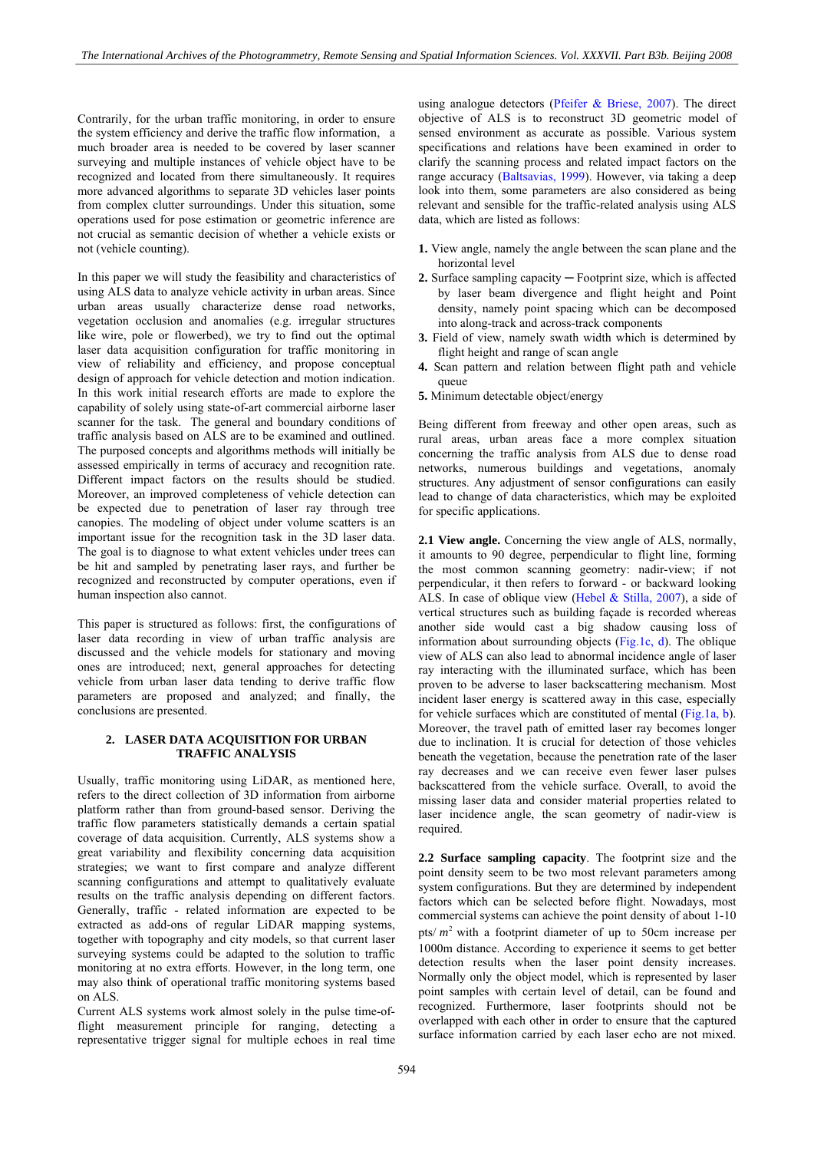Contrarily, for the urban traffic monitoring, in order to ensure the system efficiency and derive the traffic flow information, a much broader area is needed to be covered by laser scanner surveying and multiple instances of vehicle object have to be recognized and located from there simultaneously. It requires more advanced algorithms to separate 3D vehicles laser points from complex clutter surroundings. Under this situation, some operations used for pose estimation or geometric inference are not crucial as semantic decision of whether a vehicle exists or not (vehicle counting).

In this paper we will study the feasibility and characteristics of using ALS data to analyze vehicle activity in urban areas. Since urban areas usually characterize dense road networks, vegetation occlusion and anomalies (e.g. irregular structures like wire, pole or flowerbed), we try to find out the optimal laser data acquisition configuration for traffic monitoring in view of reliability and efficiency, and propose conceptual design of approach for vehicle detection and motion indication. In this work initial research efforts are made to explore the capability of solely using state-of-art commercial airborne laser scanner for the task. The general and boundary conditions of traffic analysis based on ALS are to be examined and outlined. The purposed concepts and algorithms methods will initially be assessed empirically in terms of accuracy and recognition rate. Different impact factors on the results should be studied. Moreover, an improved completeness of vehicle detection can be expected due to penetration of laser ray through tree canopies. The modeling of object under volume scatters is an important issue for the recognition task in the 3D laser data. The goal is to diagnose to what extent vehicles under trees can be hit and sampled by penetrating laser rays, and further be recognized and reconstructed by computer operations, even if human inspection also cannot.

This paper is structured as follows: first, the configurations of laser data recording in view of urban traffic analysis are discussed and the vehicle models for stationary and moving ones are introduced; next, general approaches for detecting vehicle from urban laser data tending to derive traffic flow parameters are proposed and analyzed; and finally, the conclusions are presented.

## **2. LASER DATA ACQUISITION FOR URBAN TRAFFIC ANALYSIS**

Usually, traffic monitoring using LiDAR, as mentioned here, refers to the direct collection of 3D information from airborne platform rather than from ground-based sensor. Deriving the traffic flow parameters statistically demands a certain spatial coverage of data acquisition. Currently, ALS systems show a great variability and flexibility concerning data acquisition strategies; we want to first compare and analyze different scanning configurations and attempt to qualitatively evaluate results on the traffic analysis depending on different factors. Generally, traffic - related information are expected to be extracted as add-ons of regular LiDAR mapping systems, together with topography and city models, so that current laser surveying systems could be adapted to the solution to traffic monitoring at no extra efforts. However, in the long term, one may also think of operational traffic monitoring systems based on ALS.

Current ALS systems work almost solely in the pulse time-offlight measurement principle for ranging, detecting a representative trigger signal for multiple echoes in real time using analogue detectors (Pfeifer & Briese, 2007). The direct objective of ALS is to reconstruct 3D geometric model of sensed environment as accurate as possible. Various system specifications and relations have been examined in order to clarify the scanning process and related impact factors on the range accuracy (Baltsavias, 1999). However, via taking a deep look into them, some parameters are also considered as being relevant and sensible for the traffic-related analysis using ALS data, which are listed as follows:

- **1.** View angle, namely the angle between the scan plane and the horizontal level
- **2.** Surface sampling capacity ─ Footprint size, which is affected by laser beam divergence and flight height and Point density, namely point spacing which can be decomposed into along-track and across-track components
- **3.** Field of view, namely swath width which is determined by flight height and range of scan angle
- **4.** Scan pattern and relation between flight path and vehicle queue
- **5.** Minimum detectable object/energy

Being different from freeway and other open areas, such as rural areas, urban areas face a more complex situation concerning the traffic analysis from ALS due to dense road networks, numerous buildings and vegetations, anomaly structures. Any adjustment of sensor configurations can easily lead to change of data characteristics, which may be exploited for specific applications.

**2.1 View angle.** Concerning the view angle of ALS, normally, it amounts to 90 degree, perpendicular to flight line, forming the most common scanning geometry: nadir-view; if not perpendicular, it then refers to forward - or backward looking ALS. In case of oblique view (Hebel & Stilla, 2007), a side of vertical structures such as building façade is recorded whereas another side would cast a big shadow causing loss of information about surrounding objects (Fig.1c, d). The oblique view of ALS can also lead to abnormal incidence angle of laser ray interacting with the illuminated surface, which has been proven to be adverse to laser backscattering mechanism. Most incident laser energy is scattered away in this case, especially for vehicle surfaces which are constituted of mental (Fig.1a, b). Moreover, the travel path of emitted laser ray becomes longer due to inclination. It is crucial for detection of those vehicles beneath the vegetation, because the penetration rate of the laser ray decreases and we can receive even fewer laser pulses backscattered from the vehicle surface. Overall, to avoid the missing laser data and consider material properties related to laser incidence angle, the scan geometry of nadir-view is required.

**2.2 Surface sampling capacity**. The footprint size and the point density seem to be two most relevant parameters among system configurations. But they are determined by independent factors which can be selected before flight. Nowadays, most commercial systems can achieve the point density of about 1-10 pts/ $m<sup>2</sup>$  with a footprint diameter of up to 50cm increase per 1000m distance. According to experience it seems to get better detection results when the laser point density increases. Normally only the object model, which is represented by laser point samples with certain level of detail, can be found and recognized. Furthermore, laser footprints should not be overlapped with each other in order to ensure that the captured surface information carried by each laser echo are not mixed.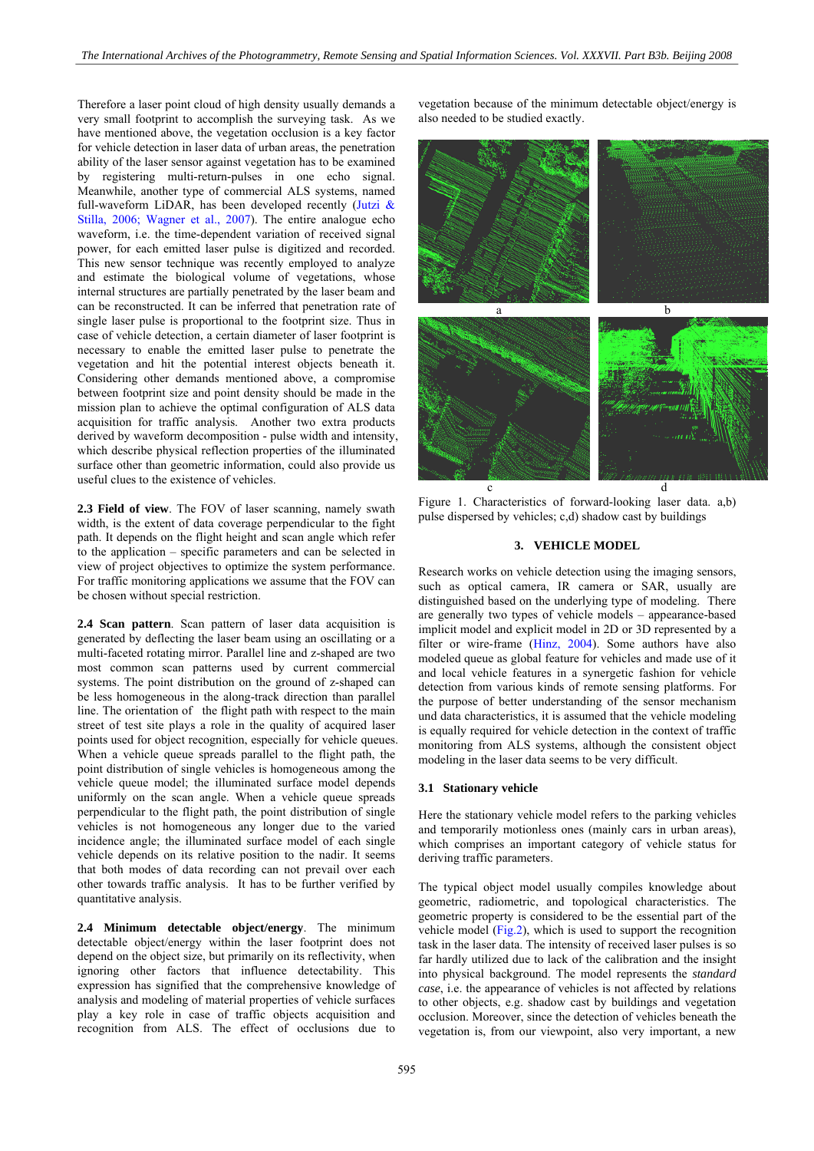Therefore a laser point cloud of high density usually demands a very small footprint to accomplish the surveying task. As we have mentioned above, the vegetation occlusion is a key factor for vehicle detection in laser data of urban areas, the penetration ability of the laser sensor against vegetation has to be examined by registering multi-return-pulses in one echo signal. Meanwhile, another type of commercial ALS systems, named full-waveform LiDAR, has been developed recently (Jutzi  $\&$ Stilla, 2006; Wagner et al., 2007). The entire analogue echo waveform, i.e. the time-dependent variation of received signal power, for each emitted laser pulse is digitized and recorded. This new sensor technique was recently employed to analyze and estimate the biological volume of vegetations, whose internal structures are partially penetrated by the laser beam and can be reconstructed. It can be inferred that penetration rate of single laser pulse is proportional to the footprint size. Thus in case of vehicle detection, a certain diameter of laser footprint is necessary to enable the emitted laser pulse to penetrate the vegetation and hit the potential interest objects beneath it. Considering other demands mentioned above, a compromise between footprint size and point density should be made in the mission plan to achieve the optimal configuration of ALS data acquisition for traffic analysis. Another two extra products derived by waveform decomposition - pulse width and intensity, which describe physical reflection properties of the illuminated surface other than geometric information, could also provide us useful clues to the existence of vehicles.

**2.3 Field of view**. The FOV of laser scanning, namely swath width, is the extent of data coverage perpendicular to the fight path. It depends on the flight height and scan angle which refer to the application – specific parameters and can be selected in view of project objectives to optimize the system performance. For traffic monitoring applications we assume that the FOV can be chosen without special restriction.

**2.4 Scan pattern**. Scan pattern of laser data acquisition is generated by deflecting the laser beam using an oscillating or a multi-faceted rotating mirror. Parallel line and z-shaped are two most common scan patterns used by current commercial systems. The point distribution on the ground of z-shaped can be less homogeneous in the along-track direction than parallel line. The orientation of the flight path with respect to the main street of test site plays a role in the quality of acquired laser points used for object recognition, especially for vehicle queues. When a vehicle queue spreads parallel to the flight path, the point distribution of single vehicles is homogeneous among the vehicle queue model; the illuminated surface model depends uniformly on the scan angle. When a vehicle queue spreads perpendicular to the flight path, the point distribution of single vehicles is not homogeneous any longer due to the varied incidence angle; the illuminated surface model of each single vehicle depends on its relative position to the nadir. It seems that both modes of data recording can not prevail over each other towards traffic analysis. It has to be further verified by quantitative analysis.

**2.4 Minimum detectable object/energy**. The minimum detectable object/energy within the laser footprint does not depend on the object size, but primarily on its reflectivity, when ignoring other factors that influence detectability. This expression has signified that the comprehensive knowledge of analysis and modeling of material properties of vehicle surfaces play a key role in case of traffic objects acquisition and recognition from ALS. The effect of occlusions due to

vegetation because of the minimum detectable object/energy is also needed to be studied exactly.



Figure 1. Characteristics of forward-looking laser data. a,b) pulse dispersed by vehicles; c,d) shadow cast by buildings

## **3. VEHICLE MODEL**

Research works on vehicle detection using the imaging sensors, such as optical camera, IR camera or SAR, usually are distinguished based on the underlying type of modeling. There are generally two types of vehicle models – appearance-based implicit model and explicit model in 2D or 3D represented by a filter or wire-frame (Hinz, 2004). Some authors have also modeled queue as global feature for vehicles and made use of it and local vehicle features in a synergetic fashion for vehicle detection from various kinds of remote sensing platforms. For the purpose of better understanding of the sensor mechanism und data characteristics, it is assumed that the vehicle modeling is equally required for vehicle detection in the context of traffic monitoring from ALS systems, although the consistent object modeling in the laser data seems to be very difficult.

#### **3.1 Stationary vehicle**

Here the stationary vehicle model refers to the parking vehicles and temporarily motionless ones (mainly cars in urban areas), which comprises an important category of vehicle status for deriving traffic parameters.

The typical object model usually compiles knowledge about geometric, radiometric, and topological characteristics. The geometric property is considered to be the essential part of the vehicle model (Fig.2), which is used to support the recognition task in the laser data. The intensity of received laser pulses is so far hardly utilized due to lack of the calibration and the insight into physical background. The model represents the *standard case*, i.e. the appearance of vehicles is not affected by relations to other objects, e.g. shadow cast by buildings and vegetation occlusion. Moreover, since the detection of vehicles beneath the vegetation is, from our viewpoint, also very important, a new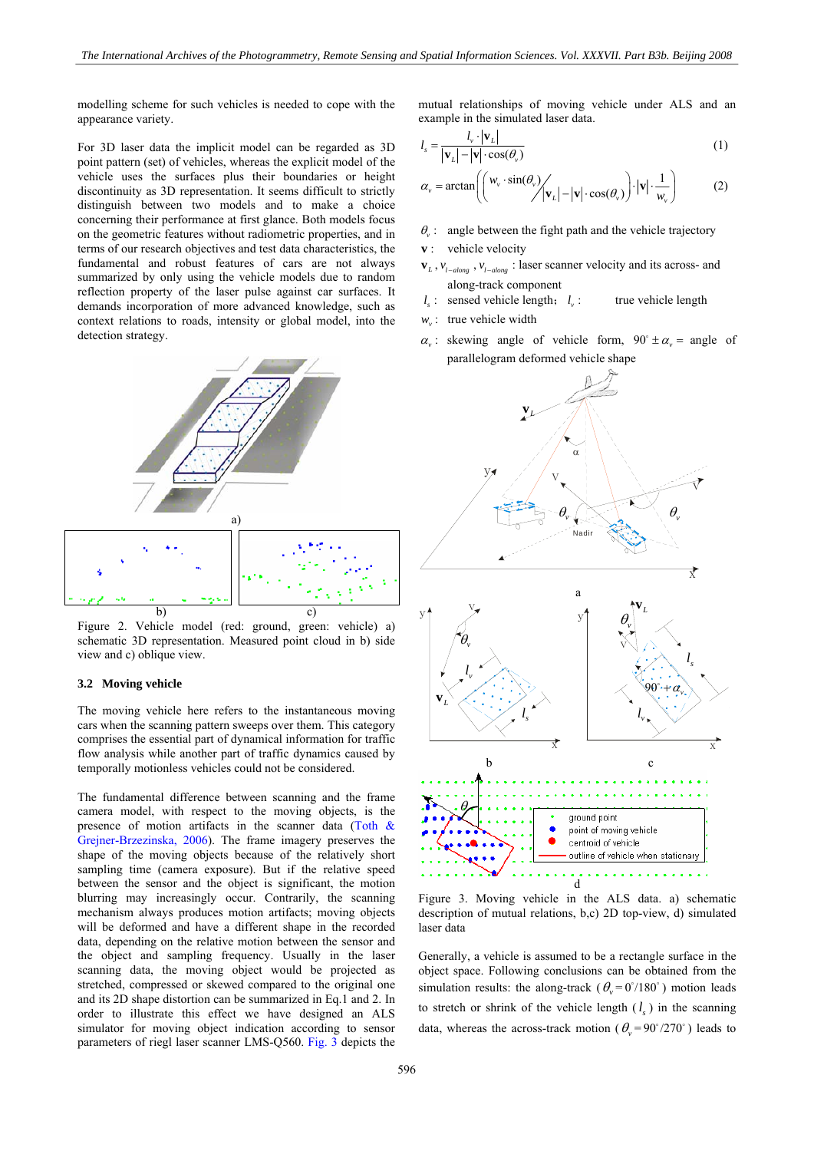modelling scheme for such vehicles is needed to cope with the appearance variety.

For 3D laser data the implicit model can be regarded as 3D point pattern (set) of vehicles, whereas the explicit model of the vehicle uses the surfaces plus their boundaries or height discontinuity as 3D representation. It seems difficult to strictly distinguish between two models and to make a choice concerning their performance at first glance. Both models focus on the geometric features without radiometric properties, and in terms of our research objectives and test data characteristics, the fundamental and robust features of cars are not always summarized by only using the vehicle models due to random reflection property of the laser pulse against car surfaces. It demands incorporation of more advanced knowledge, such as context relations to roads, intensity or global model, into the detection strategy.



Figure 2. Vehicle model (red: ground, green: vehicle) a) schematic 3D representation. Measured point cloud in b) side view and c) oblique view.

## **3.2 Moving vehicle**

The moving vehicle here refers to the instantaneous moving cars when the scanning pattern sweeps over them. This category comprises the essential part of dynamical information for traffic flow analysis while another part of traffic dynamics caused by temporally motionless vehicles could not be considered.

The fundamental difference between scanning and the frame camera model, with respect to the moving objects, is the presence of motion artifacts in the scanner data (Toth & Grejner-Brzezinska, 2006). The frame imagery preserves the shape of the moving objects because of the relatively short sampling time (camera exposure). But if the relative speed between the sensor and the object is significant, the motion blurring may increasingly occur. Contrarily, the scanning mechanism always produces motion artifacts; moving objects will be deformed and have a different shape in the recorded data, depending on the relative motion between the sensor and the object and sampling frequency. Usually in the laser scanning data, the moving object would be projected as stretched, compressed or skewed compared to the original one and its 2D shape distortion can be summarized in Eq.1 and 2. In order to illustrate this effect we have designed an ALS simulator for moving object indication according to sensor parameters of riegl laser scanner LMS-Q560. Fig. 3 depicts the mutual relationships of moving vehicle under ALS and an example in the simulated laser data.

$$
l_s = \frac{l_v \cdot |\mathbf{v}_L|}{|\mathbf{v}_L| - |\mathbf{v}| \cdot \cos(\theta_v)}
$$
(1)

$$
\alpha_{v} = \arctan\left(\left(\frac{w_{v} \cdot \sin(\theta_{v})}{\sqrt{|\mathbf{v}_{L}| - |\mathbf{v}|} \cdot \cos(\theta_{v})}\right) \cdot |\mathbf{v}| \cdot \frac{1}{w_{v}}\right) \tag{2}
$$

- $\theta$ <sub>x</sub>: angle between the fight path and the vehicle trajectory
- **v**: vehicle velocity
- $\mathbf{v}_L$ ,  $v_{l-adong}$ ,  $v_{l-adong}$ : laser scanner velocity and its across- and along-track component
- $l_i$ : sensed vehicle length;  $l_i$ : true vehicle length
- $w_v$ : true vehicle width
- $\alpha$ <sub>v</sub>: skewing angle of vehicle form,  $90^\circ \pm \alpha$ <sub>v</sub> = angle of parallelogram deformed vehicle shape



Figure 3. Moving vehicle in the ALS data. a) schematic description of mutual relations, b,c) 2D top-view, d) simulated laser data

Generally, a vehicle is assumed to be a rectangle surface in the object space. Following conclusions can be obtained from the simulation results: the along-track ( $\theta_v = 0^\circ/180^\circ$ ) motion leads to stretch or shrink of the vehicle length  $(l<sub>s</sub>)$  in the scanning data, whereas the across-track motion ( $\theta_{\rm v} = 90^{\circ}/270^{\circ}$ ) leads to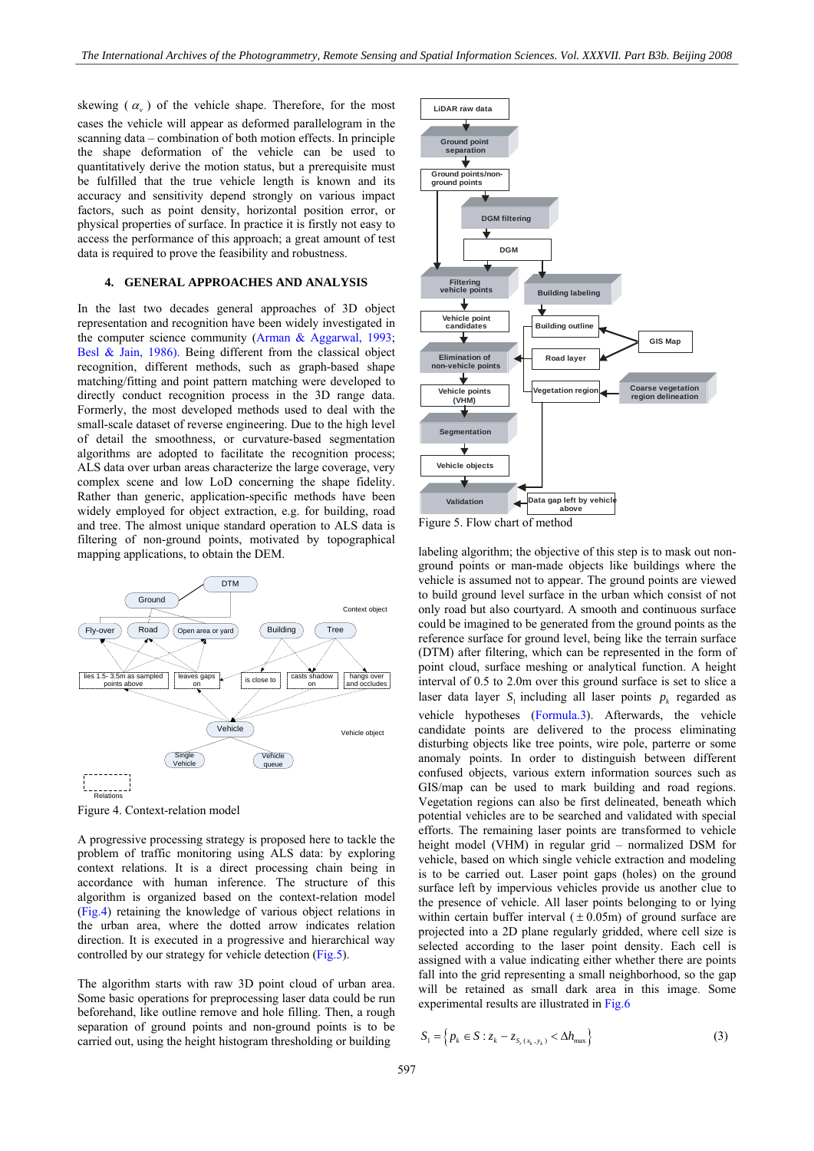skewing  $(\alpha_{\nu})$  of the vehicle shape. Therefore, for the most cases the vehicle will appear as deformed parallelogram in the scanning data – combination of both motion effects. In principle the shape deformation of the vehicle can be used to quantitatively derive the motion status, but a prerequisite must be fulfilled that the true vehicle length is known and its accuracy and sensitivity depend strongly on various impact factors, such as point density, horizontal position error, or physical properties of surface. In practice it is firstly not easy to access the performance of this approach; a great amount of test data is required to prove the feasibility and robustness.

#### **4. GENERAL APPROACHES AND ANALYSIS**

In the last two decades general approaches of 3D object representation and recognition have been widely investigated in the computer science community (Arman & Aggarwal, 1993; Besl & Jain, 1986). Being different from the classical object recognition, different methods, such as graph-based shape matching/fitting and point pattern matching were developed to directly conduct recognition process in the 3D range data. Formerly, the most developed methods used to deal with the small-scale dataset of reverse engineering. Due to the high level of detail the smoothness, or curvature-based segmentation algorithms are adopted to facilitate the recognition process; ALS data over urban areas characterize the large coverage, very complex scene and low LoD concerning the shape fidelity. Rather than generic, application-specific methods have been widely employed for object extraction, e.g. for building, road and tree. The almost unique standard operation to ALS data is filtering of non-ground points, motivated by topographical mapping applications, to obtain the DEM.



Figure 4. Context-relation model

A progressive processing strategy is proposed here to tackle the problem of traffic monitoring using ALS data: by exploring context relations. It is a direct processing chain being in accordance with human inference. The structure of this algorithm is organized based on the context-relation model (Fig.4) retaining the knowledge of various object relations in the urban area, where the dotted arrow indicates relation direction. It is executed in a progressive and hierarchical way controlled by our strategy for vehicle detection (Fig.5).

The algorithm starts with raw 3D point cloud of urban area. Some basic operations for preprocessing laser data could be run beforehand, like outline remove and hole filling. Then, a rough separation of ground points and non-ground points is to be carried out, using the height histogram thresholding or building



Figure 5. Flow chart of method

labeling algorithm; the objective of this step is to mask out nonground points or man-made objects like buildings where the vehicle is assumed not to appear. The ground points are viewed to build ground level surface in the urban which consist of not only road but also courtyard. A smooth and continuous surface could be imagined to be generated from the ground points as the reference surface for ground level, being like the terrain surface (DTM) after filtering, which can be represented in the form of point cloud, surface meshing or analytical function. A height interval of 0.5 to 2.0m over this ground surface is set to slice a laser data layer  $S_i$  including all laser points  $p_k$  regarded as vehicle hypotheses (Formula.3). Afterwards, the vehicle candidate points are delivered to the process eliminating disturbing objects like tree points, wire pole, parterre or some anomaly points. In order to distinguish between different confused objects, various extern information sources such as GIS/map can be used to mark building and road regions. Vegetation regions can also be first delineated, beneath which potential vehicles are to be searched and validated with special efforts. The remaining laser points are transformed to vehicle height model (VHM) in regular grid – normalized DSM for vehicle, based on which single vehicle extraction and modeling is to be carried out. Laser point gaps (holes) on the ground surface left by impervious vehicles provide us another clue to the presence of vehicle. All laser points belonging to or lying within certain buffer interval  $(\pm 0.05m)$  of ground surface are projected into a 2D plane regularly gridded, where cell size is selected according to the laser point density. Each cell is assigned with a value indicating either whether there are points fall into the grid representing a small neighborhood, so the gap will be retained as small dark area in this image. Some experimental results are illustrated in Fig.6

$$
S_1 = \left\{ p_k \in S : z_k - z_{S_r(x_k, y_k)} < \Delta h_{\text{max}} \right\} \tag{3}
$$